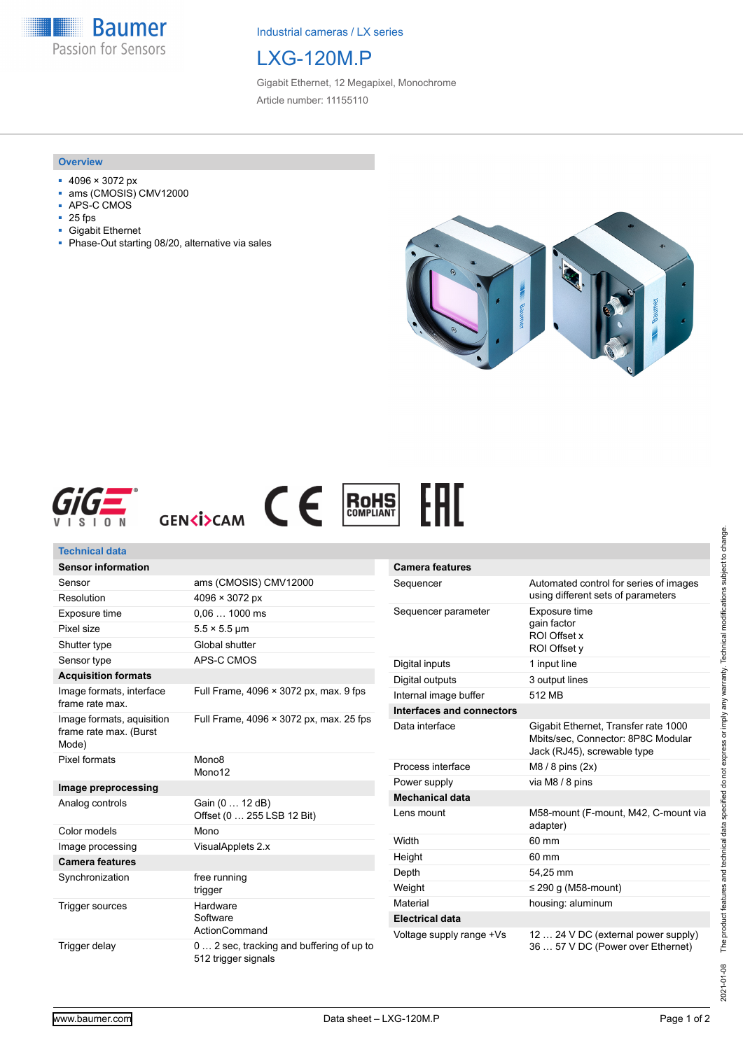**Baumer** Passion for Sensors

Industrial cameras / LX series

# LXG-120M.P

Gigabit Ethernet, 12 Megapixel, Monochrome Article number: 11155110

#### **Overview**

- 4096 × 3072 px
- ams (CMOSIS) CMV12000
- APS-C CMOS
- 25 fps
- Gigabit Ethernet
- Phase-Out starting 08/20, alternative via sales







| <b>Technical data</b>                                        |                                                           |                                  |                                                                |
|--------------------------------------------------------------|-----------------------------------------------------------|----------------------------------|----------------------------------------------------------------|
| <b>Sensor information</b>                                    |                                                           | <b>Camera features</b>           |                                                                |
| Sensor                                                       | ams (CMOSIS) CMV12000                                     | Sequencer                        | Automated control                                              |
| Resolution                                                   | $4096 \times 3072 \text{ px}$                             |                                  | using different sets                                           |
| Exposure time                                                | $0.061000$ ms                                             | Sequencer parameter              | Exposure time                                                  |
| Pixel size                                                   | $5.5 \times 5.5$ µm                                       |                                  | gain factor<br>ROI Offset x                                    |
| Shutter type                                                 | Global shutter                                            |                                  | ROI Offset y                                                   |
| Sensor type                                                  | APS-C CMOS                                                | Digital inputs                   | 1 input line                                                   |
| <b>Acquisition formats</b>                                   |                                                           | Digital outputs                  | 3 output lines                                                 |
| Image formats, interface                                     | Full Frame, 4096 × 3072 px, max. 9 fps                    | Internal image buffer            | 512 MB                                                         |
| frame rate max.                                              |                                                           | <b>Interfaces and connectors</b> |                                                                |
| Image formats, aquisition<br>frame rate max. (Burst<br>Mode) | Full Frame, 4096 × 3072 px, max. 25 fps                   | Data interface                   | Gigabit Ethernet, T<br>Mbits/sec, Connec<br>Jack (RJ45), screw |
| Pixel formats                                                | Mono <sub>8</sub><br>Mono12                               | Process interface                | M8 / 8 pins (2x)                                               |
| Image preprocessing                                          |                                                           | Power supply                     | via M8 / 8 pins                                                |
| Analog controls                                              | Gain (0  12 dB)                                           | <b>Mechanical data</b>           |                                                                |
|                                                              | Offset (0  255 LSB 12 Bit)                                | Lens mount                       | M58-mount (F-mou                                               |
| Color models                                                 | Mono                                                      |                                  | adapter)                                                       |
| Image processing                                             | VisualApplets 2.x                                         | Width                            | 60 mm                                                          |
| <b>Camera features</b>                                       |                                                           | Height                           | 60 mm                                                          |
| Synchronization                                              | free running                                              | Depth                            | 54.25 mm                                                       |
|                                                              | trigger                                                   | Weight                           | $\leq$ 290 g (M58-mour                                         |
| <b>Trigger sources</b>                                       | Hardware<br>Software                                      | Material                         | housing: aluminum                                              |
|                                                              |                                                           | <b>Electrical data</b>           |                                                                |
| Trigger delay                                                | ActionCommand<br>0 2 sec, tracking and buffering of up to | Voltage supply range +Vs         | 12  24 V DC (ext<br>36  57 V DC (Po)                           |
|                                                              | 512 trigger signals                                       |                                  |                                                                |

| Gamera leatures                  |                                                                                                           |
|----------------------------------|-----------------------------------------------------------------------------------------------------------|
| Sequencer                        | Automated control for series of images<br>using different sets of parameters                              |
| Sequencer parameter              | Exposure time<br>gain factor<br>ROI Offset x<br>ROI Offset y                                              |
| Digital inputs                   | 1 input line                                                                                              |
| Digital outputs                  | 3 output lines                                                                                            |
| Internal image buffer            | 512 MB                                                                                                    |
| <b>Interfaces and connectors</b> |                                                                                                           |
| Data interface                   | Gigabit Ethernet, Transfer rate 1000<br>Mbits/sec. Connector: 8P8C Modular<br>Jack (RJ45), screwable type |
| Process interface                | $M8/8$ pins $(2x)$                                                                                        |
| Power supply                     | via M8 / 8 pins                                                                                           |
| Mechanical data                  |                                                                                                           |
| Lens mount                       | M58-mount (F-mount, M42, C-mount via<br>adapter)                                                          |
| Width                            | 60 mm                                                                                                     |
| Height                           | 60 mm                                                                                                     |
| Depth                            | 54,25 mm                                                                                                  |
| Weight                           | $\leq$ 290 g (M58-mount)                                                                                  |
| Material                         | housing: aluminum                                                                                         |

12 ... 24 V DC (external power supply) 36 … 57 V DC (Power over Ethernet)